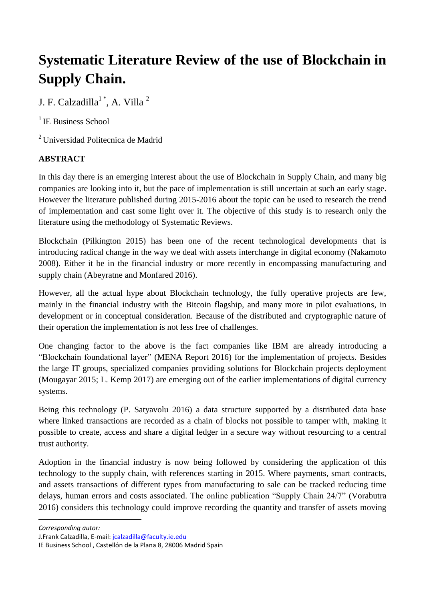# **Systematic Literature Review of the use of Blockchain in Supply Chain.**

J. F. Calzadilla $^{1}$ , A. Villa<sup>2</sup>

 $1$ <sup>I</sup> IE Business School

<sup>2</sup>Universidad Politecnica de Madrid

# **ABSTRACT**

In this day there is an emerging interest about the use of Blockchain in Supply Chain, and many big companies are looking into it, but the pace of implementation is still uncertain at such an early stage. However the literature published during 2015-2016 about the topic can be used to research the trend of implementation and cast some light over it. The objective of this study is to research only the literature using the methodology of Systematic Reviews.

Blockchain (Pilkington 2015) has been one of the recent technological developments that is introducing radical change in the way we deal with assets interchange in digital economy (Nakamoto 2008). Either it be in the financial industry or more recently in encompassing manufacturing and supply chain (Abeyratne and Monfared 2016).

However, all the actual hype about Blockchain technology, the fully operative projects are few, mainly in the financial industry with the Bitcoin flagship, and many more in pilot evaluations, in development or in conceptual consideration. Because of the distributed and cryptographic nature of their operation the implementation is not less free of challenges.

One changing factor to the above is the fact companies like IBM are already introducing a "Blockchain foundational layer" (MENA Report 2016) for the implementation of projects. Besides the large IT groups, specialized companies providing solutions for Blockchain projects deployment (Mougayar 2015; L. Kemp 2017) are emerging out of the earlier implementations of digital currency systems.

Being this technology (P. Satyavolu 2016) a data structure supported by a distributed data base where linked transactions are recorded as a chain of blocks not possible to tamper with, making it possible to create, access and share a digital ledger in a secure way without resourcing to a central trust authority.

Adoption in the financial industry is now being followed by considering the application of this technology to the supply chain, with references starting in 2015. Where payments, smart contracts, and assets transactions of different types from manufacturing to sale can be tracked reducing time delays, human errors and costs associated. The online publication "Supply Chain 24/7" (Vorabutra 2016) considers this technology could improve recording the quantity and transfer of assets moving

*Corresponding autor:*

**.** 

J.Frank Calzadilla, E-mail[: jcalzadilla@faculty.ie.edu](mailto:jcalzadilla@faculty.ie.edu)

IE Business School , Castellón de la Plana 8, 28006 Madrid Spain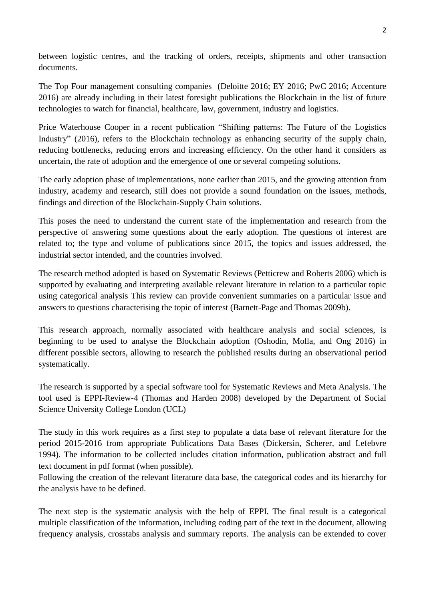between logistic centres, and the tracking of orders, receipts, shipments and other transaction documents.

The Top Four management consulting companies (Deloitte 2016; EY 2016; PwC 2016; Accenture 2016) are already including in their latest foresight publications the Blockchain in the list of future technologies to watch for financial, healthcare, law, government, industry and logistics.

Price Waterhouse Cooper in a recent publication "Shifting patterns: The Future of the Logistics Industry" (2016), refers to the Blockchain technology as enhancing security of the supply chain, reducing bottlenecks, reducing errors and increasing efficiency. On the other hand it considers as uncertain, the rate of adoption and the emergence of one or several competing solutions.

The early adoption phase of implementations, none earlier than 2015, and the growing attention from industry, academy and research, still does not provide a sound foundation on the issues, methods, findings and direction of the Blockchain-Supply Chain solutions.

This poses the need to understand the current state of the implementation and research from the perspective of answering some questions about the early adoption. The questions of interest are related to; the type and volume of publications since 2015, the topics and issues addressed, the industrial sector intended, and the countries involved.

The research method adopted is based on Systematic Reviews (Petticrew and Roberts 2006) which is supported by evaluating and interpreting available relevant literature in relation to a particular topic using categorical analysis This review can provide convenient summaries on a particular issue and answers to questions characterising the topic of interest (Barnett-Page and Thomas 2009b).

This research approach, normally associated with healthcare analysis and social sciences, is beginning to be used to analyse the Blockchain adoption (Oshodin, Molla, and Ong 2016) in different possible sectors, allowing to research the published results during an observational period systematically.

The research is supported by a special software tool for Systematic Reviews and Meta Analysis. The tool used is EPPI-Review-4 (Thomas and Harden 2008) developed by the Department of Social Science University College London (UCL)

The study in this work requires as a first step to populate a data base of relevant literature for the period 2015-2016 from appropriate Publications Data Bases (Dickersin, Scherer, and Lefebvre 1994). The information to be collected includes citation information, publication abstract and full text document in pdf format (when possible).

Following the creation of the relevant literature data base, the categorical codes and its hierarchy for the analysis have to be defined.

The next step is the systematic analysis with the help of EPPI. The final result is a categorical multiple classification of the information, including coding part of the text in the document, allowing frequency analysis, crosstabs analysis and summary reports. The analysis can be extended to cover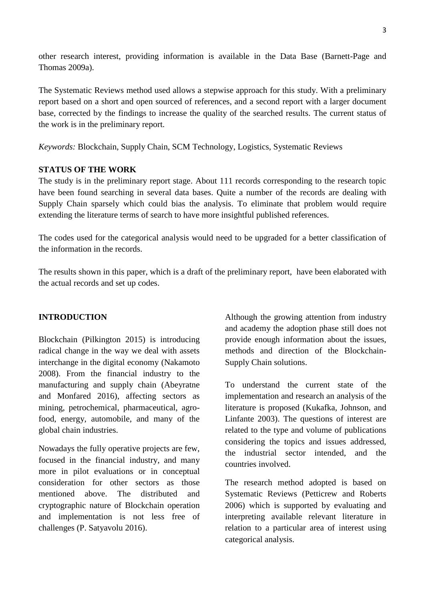other research interest, providing information is available in the Data Base (Barnett-Page and Thomas 2009a).

The Systematic Reviews method used allows a stepwise approach for this study. With a preliminary report based on a short and open sourced of references, and a second report with a larger document base, corrected by the findings to increase the quality of the searched results. The current status of the work is in the preliminary report.

*Keywords:* Blockchain, Supply Chain, SCM Technology, Logistics, Systematic Reviews

# **STATUS OF THE WORK**

The study is in the preliminary report stage. About 111 records corresponding to the research topic have been found searching in several data bases. Quite a number of the records are dealing with Supply Chain sparsely which could bias the analysis. To eliminate that problem would require extending the literature terms of search to have more insightful published references.

The codes used for the categorical analysis would need to be upgraded for a better classification of the information in the records.

The results shown in this paper, which is a draft of the preliminary report, have been elaborated with the actual records and set up codes.

# **INTRODUCTION**

Blockchain (Pilkington 2015) is introducing radical change in the way we deal with assets interchange in the digital economy (Nakamoto 2008). From the financial industry to the manufacturing and supply chain (Abeyratne and Monfared 2016), affecting sectors as mining, petrochemical, pharmaceutical, agrofood, energy, automobile, and many of the global chain industries.

Nowadays the fully operative projects are few, focused in the financial industry, and many more in pilot evaluations or in conceptual consideration for other sectors as those mentioned above. The distributed and cryptographic nature of Blockchain operation and implementation is not less free of challenges (P. Satyavolu 2016).

Although the growing attention from industry and academy the adoption phase still does not provide enough information about the issues, methods and direction of the Blockchain-Supply Chain solutions.

To understand the current state of the implementation and research an analysis of the literature is proposed (Kukafka, Johnson, and Linfante 2003). The questions of interest are related to the type and volume of publications considering the topics and issues addressed, the industrial sector intended, and the countries involved.

The research method adopted is based on Systematic Reviews (Petticrew and Roberts 2006) which is supported by evaluating and interpreting available relevant literature in relation to a particular area of interest using categorical analysis.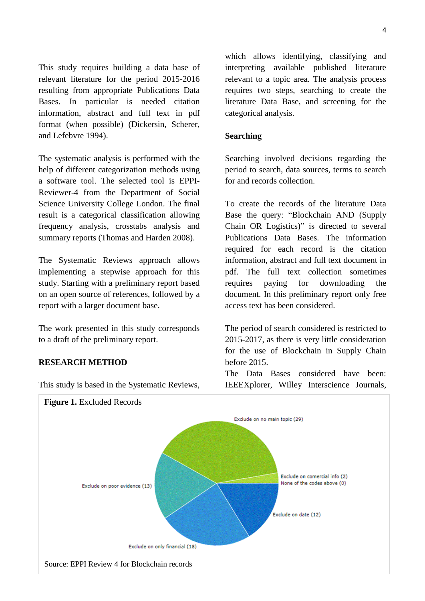This study requires building a data base of relevant literature for the period 2015-2016 resulting from appropriate Publications Data Bases. In particular is needed citation information, abstract and full text in pdf format (when possible) (Dickersin, Scherer, and Lefebvre 1994).

The systematic analysis is performed with the help of different categorization methods using a software tool. The selected tool is EPPI-Reviewer-4 from the Department of Social Science University College London. The final result is a categorical classification allowing frequency analysis, crosstabs analysis and summary reports (Thomas and Harden 2008).

The Systematic Reviews approach allows implementing a stepwise approach for this study. Starting with a preliminary report based on an open source of references, followed by a report with a larger document base.

The work presented in this study corresponds to a draft of the preliminary report.

#### **RESEARCH METHOD**

This study is based in the Systematic Reviews,

which allows identifying, classifying and interpreting available published literature relevant to a topic area. The analysis process requires two steps, searching to create the literature Data Base, and screening for the categorical analysis.

#### **Searching**

Searching involved decisions regarding the period to search, data sources, terms to search for and records collection.

To create the records of the literature Data Base the query: "Blockchain AND (Supply Chain OR Logistics)" is directed to several Publications Data Bases. The information required for each record is the citation information, abstract and full text document in pdf. The full text collection sometimes requires paying for downloading the document. In this preliminary report only free access text has been considered.

The period of search considered is restricted to 2015-2017, as there is very little consideration for the use of Blockchain in Supply Chain before 2015.

The Data Bases considered have been: IEEEXplorer, Willey Interscience Journals,

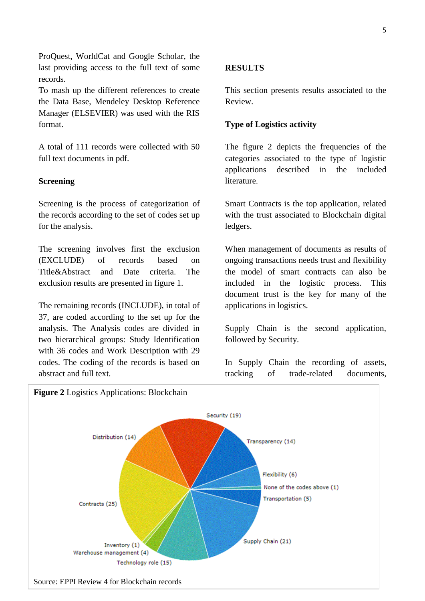ProQuest, WorldCat and Google Scholar, the last providing access to the full text of some records.

To mash up the different references to create the Data Base, Mendeley Desktop Reference Manager (ELSEVIER) was used with the RIS format.

A total of 111 records were collected with 50 full text documents in pdf.

#### **Screening**

Screening is the process of categorization of the records according to the set of codes set up for the analysis.

The screening involves first the exclusion (EXCLUDE) of records based on Title&Abstract and Date criteria. The exclusion results are presented in figure 1.

The remaining records (INCLUDE), in total of 37, are coded according to the set up for the analysis. The Analysis codes are divided in two hierarchical groups: Study Identification with 36 codes and Work Description with 29 codes. The coding of the records is based on abstract and full text.

### **RESULTS**

This section presents results associated to the Review.

# **Type of Logistics activity**

The figure 2 depicts the frequencies of the categories associated to the type of logistic applications described in the included literature.

Smart Contracts is the top application, related with the trust associated to Blockchain digital ledgers.

When management of documents as results of ongoing transactions needs trust and flexibility the model of smart contracts can also be included in the logistic process. This document trust is the key for many of the applications in logistics.

Supply Chain is the second application, followed by Security.

In Supply Chain the recording of assets, tracking of trade-related documents,

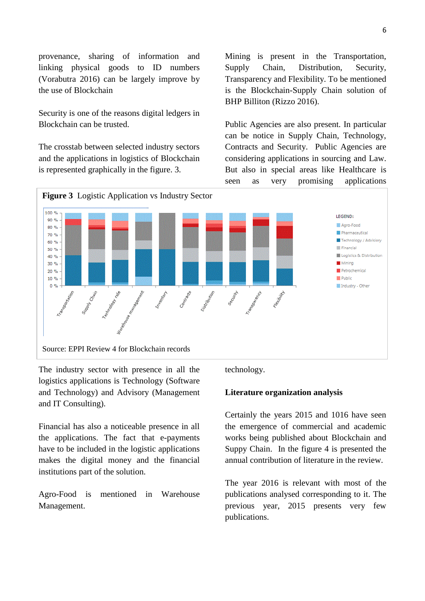provenance, sharing of information and linking physical goods to ID numbers (Vorabutra 2016) can be largely improve by the use of Blockchain

Security is one of the reasons digital ledgers in Blockchain can be trusted.

The crosstab between selected industry sectors and the applications in logistics of Blockchain is represented graphically in the figure. 3.

Mining is present in the Transportation, Supply Chain, Distribution, Security, Transparency and Flexibility. To be mentioned is the Blockchain-Supply Chain solution of BHP Billiton (Rizzo 2016).

Public Agencies are also present. In particular can be notice in Supply Chain, Technology, Contracts and Security. Public Agencies are considering applications in sourcing and Law. But also in special areas like Healthcare is seen as very promising applications



The industry sector with presence in all the logistics applications is Technology (Software and Technology) and Advisory (Management and IT Consulting).

Financial has also a noticeable presence in all the applications. The fact that e-payments have to be included in the logistic applications makes the digital money and the financial institutions part of the solution.

Agro-Food is mentioned in Warehouse Management.

technology.

#### **Literature organization analysis**

Certainly the years 2015 and 1016 have seen the emergence of commercial and academic works being published about Blockchain and Suppy Chain. In the figure 4 is presented the annual contribution of literature in the review.

The year 2016 is relevant with most of the publications analysed corresponding to it. The previous year, 2015 presents very few publications.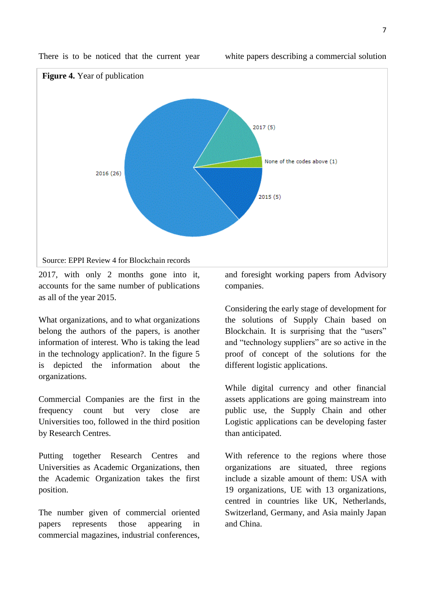

There is to be noticed that the current year

#### white papers describing a commercial solution

Source: EPPI Review 4 for Blockchain records

2017, with only 2 months gone into it, accounts for the same number of publications as all of the year 2015.

What organizations, and to what organizations belong the authors of the papers, is another information of interest. Who is taking the lead in the technology application?. In the figure 5 is depicted the information about the organizations.

Commercial Companies are the first in the frequency count but very close are Universities too, followed in the third position by Research Centres.

Putting together Research Centres and Universities as Academic Organizations, then the Academic Organization takes the first position.

The number given of commercial oriented papers represents those appearing in commercial magazines, industrial conferences,

and foresight working papers from Advisory companies.

Considering the early stage of development for the solutions of Supply Chain based on Blockchain. It is surprising that the "users" and "technology suppliers" are so active in the proof of concept of the solutions for the different logistic applications.

While digital currency and other financial assets applications are going mainstream into public use, the Supply Chain and other Logistic applications can be developing faster than anticipated.

With reference to the regions where those organizations are situated, three regions include a sizable amount of them: USA with 19 organizations, UE with 13 organizations, centred in countries like UK, Netherlands, Switzerland, Germany, and Asia mainly Japan and China.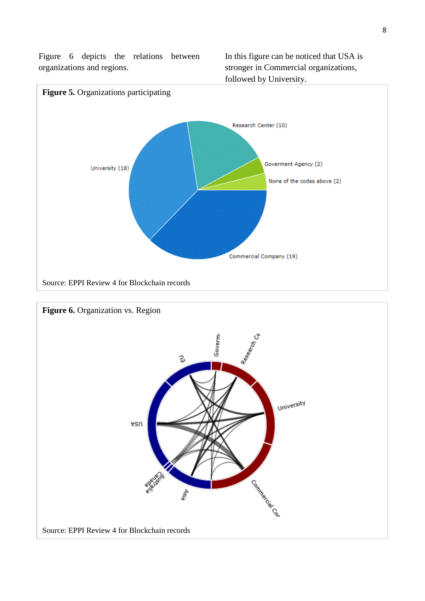Figure 6 depicts the relations between organizations and regions.

In this figure can be noticed that USA is stronger in Commercial organizations, followed by University.



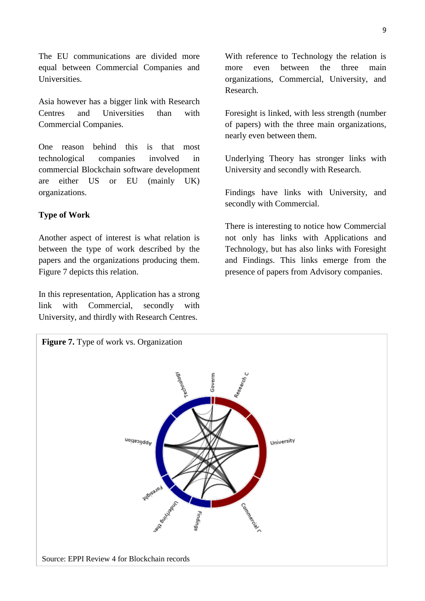The EU communications are divided more equal between Commercial Companies and Universities.

Asia however has a bigger link with Research Centres and Universities than with Commercial Companies.

One reason behind this is that most technological companies involved in commercial Blockchain software development are either US or EU (mainly UK) organizations.

## **Type of Work**

Another aspect of interest is what relation is between the type of work described by the papers and the organizations producing them. Figure 7 depicts this relation.

In this representation, Application has a strong link with Commercial, secondly with University, and thirdly with Research Centres.

With reference to Technology the relation is more even between the three main organizations, Commercial, University, and Research.

Foresight is linked, with less strength (number of papers) with the three main organizations, nearly even between them.

Underlying Theory has stronger links with University and secondly with Research.

Findings have links with University, and secondly with Commercial.

There is interesting to notice how Commercial not only has links with Applications and Technology, but has also links with Foresight and Findings. This links emerge from the presence of papers from Advisory companies.

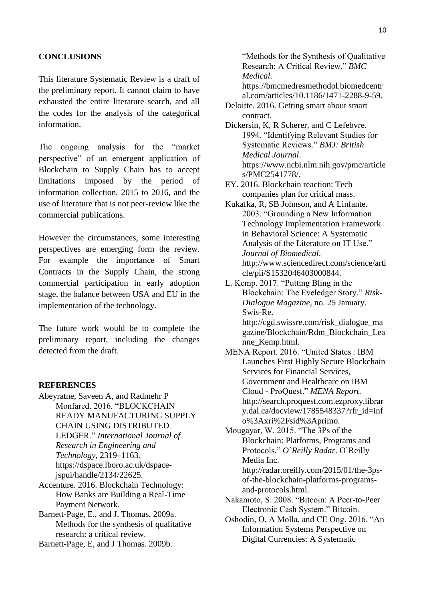## **CONCLUSIONS**

This literature Systematic Review is a draft of the preliminary report. It cannot claim to have exhausted the entire literature search, and all the codes for the analysis of the categorical information.

The ongoing analysis for the "market perspective" of an emergent application of Blockchain to Supply Chain has to accept limitations imposed by the period of information collection, 2015 to 2016, and the use of literature that is not peer-review like the commercial publications.

However the circumstances, some interesting perspectives are emerging form the review. For example the importance of Smart Contracts in the Supply Chain, the strong commercial participation in early adoption stage, the balance between USA and EU in the implementation of the technology.

The future work would be to complete the preliminary report, including the changes detected from the draft.

#### **REFERENCES**

- Abeyratne, Saveen A, and Radmehr P Monfared. 2016. "BLOCKCHAIN READY MANUFACTURING SUPPLY CHAIN USING DISTRIBUTED LEDGER." *International Journal of Research in Engineering and Technology*, 2319–1163. https://dspace.lboro.ac.uk/dspacejspui/handle/2134/22625.
- Accenture. 2016. Blockchain Technology: How Banks are Building a Real-Time Payment Network.
- Barnett-Page, E., and J. Thomas. 2009a. Methods for the synthesis of qualitative research: a critical review.
- Barnett-Page, E, and J Thomas. 2009b.

"Methods for the Synthesis of Qualitative Research: A Critical Review." *BMC Medical*. https://bmcmedresmethodol.biomedcentr al.com/articles/10.1186/1471-2288-9-59.

- Deloitte. 2016. Getting smart about smart contract.
- Dickersin, K, R Scherer, and C Lefebvre. 1994. "Identifying Relevant Studies for Systematic Reviews." *BMJ: British Medical Journal*. https://www.ncbi.nlm.nih.gov/pmc/article s/PMC2541778/.
- EY. 2016. Blockchain reaction: Tech companies plan for critical mass.
- Kukafka, R, SB Johnson, and A Linfante. 2003. "Grounding a New Information Technology Implementation Framework in Behavioral Science: A Systematic Analysis of the Literature on IT Use." *Journal of Biomedical*. http://www.sciencedirect.com/science/arti cle/pii/S1532046403000844.
- L. Kemp. 2017. "Putting Bling in the Blockchain: The Eveledger Story." *Risk-Dialogue Magazine*, no. 25 January. Swis-Re. http://cgd.swissre.com/risk\_dialogue\_ma

gazine/Blockchain/Rdm\_Blockchain\_Lea nne\_Kemp.html.

MENA Report. 2016. "United States : IBM Launches First Highly Secure Blockchain Services for Financial Services, Government and Healthcare on IBM Cloud - ProQuest." *MENA Report*. http://search.proquest.com.ezproxy.librar y.dal.ca/docview/1785548337?rfr\_id=inf o%3Axri%2Fsid%3Aprimo.

Mougayar, W. 2015. "The 3Ps of the Blockchain: Platforms, Programs and Protocols." *O`Reilly Radar*. O`Reilly Media Inc. http://radar.oreilly.com/2015/01/the-3psof-the-blockchain-platforms-programsand-protocols.html.

- Nakamoto, S. 2008. "Bitcoin: A Peer-to-Peer Electronic Cash System." Bitcoin.
- Oshodin, O, A Molla, and CE Ong. 2016. "An Information Systems Perspective on Digital Currencies: A Systematic